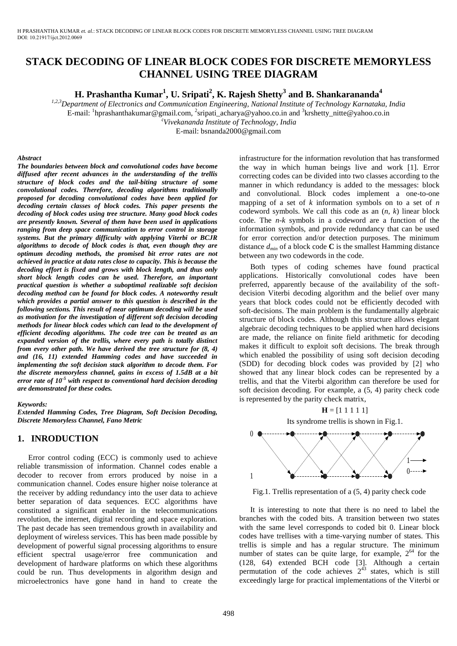# **STACK DECODING OF LINEAR BLOCK CODES FOR DISCRETE MEMORYLESS CHANNEL USING TREE DIAGRAM**

**H. Prashantha Kumar<sup>1</sup> , U. Sripati<sup>2</sup> , K. Rajesh Shetty<sup>3</sup> and B. Shankarananda<sup>4</sup>**

*1,2,3Department of Electronics and Communication Engineering, National Institute of Technology Karnataka, India* 

E-mail: <sup>1</sup>hprashanthakumar@gmail.com, <sup>2</sup>sripati\_acharya@yahoo.co.in and <sup>3</sup>[krshetty\\_nitte@yahoo.co.in](mailto:3krshetty_nitte@yahoo.co.in)

*<sup>4</sup>Vivekananda Institute of Technology, India*

E-mail: bsnanda2000@gmail.com

#### *Abstract*

*The boundaries between block and convolutional codes have become diffused after recent advances in the understanding of the trellis structure of block codes and the tail-biting structure of some convolutional codes. Therefore, decoding algorithms traditionally proposed for decoding convolutional codes have been applied for decoding certain classes of block codes. This paper presents the decoding of block codes using tree structure. Many good block codes are presently known. Several of them have been used in applications ranging from deep space communication to error control in storage systems. But the primary difficulty with applying Viterbi or BCJR algorithms to decode of block codes is that, even though they are optimum decoding methods, the promised bit error rates are not achieved in practice at data rates close to capacity. This is because the decoding effort is fixed and grows with block length, and thus only short block length codes can be used. Therefore, an important practical question is whether a suboptimal realizable soft decision decoding method can be found for block codes. A noteworthy result which provides a partial answer to this question is described in the following sections. This result of near optimum decoding will be used as motivation for the investigation of different soft decision decoding methods for linear block codes which can lead to the development of efficient decoding algorithms. The code tree can be treated as an expanded version of the trellis, where every path is totally distinct from every other path. We have derived the tree structure for (8, 4) and (16, 11) extended Hamming codes and have succeeded in implementing the soft decision stack algorithm to decode them. For the discrete memoryless channel, gains in excess of 1.5dB at a bit error rate of 10-5 with respect to conventional hard decision decoding are demonstrated for these codes.* 

#### *Keywords:*

*Extended Hamming Codes, Tree Diagram, Soft Decision Decoding, Discrete Memoryless Channel, Fano Metric* 

### **1. INRODUCTION**

Error control coding (ECC) is commonly used to achieve reliable transmission of information. Channel codes enable a decoder to recover from errors produced by noise in a communication channel. Codes ensure higher noise tolerance at the receiver by adding redundancy into the user data to achieve better separation of data sequences. ECC algorithms have constituted a significant enabler in the telecommunications revolution, the internet, digital recording and space exploration. The past decade has seen tremendous growth in availability and deployment of wireless services. This has been made possible by development of powerful signal processing algorithms to ensure efficient spectral usage/error free communication and development of hardware platforms on which these algorithms could be run. Thus developments in algorithm design and microelectronics have gone hand in hand to create the

infrastructure for the information revolution that has transformed the way in which human beings live and work [1]. Error correcting codes can be divided into two classes according to the manner in which redundancy is added to the messages: block and convolutional. Block codes implement a one-to-one mapping of a set of *k* information symbols on to a set of *n* codeword symbols. We call this code as an (*n, k*) linear block code. The *n-k* symbols in a codeword are a function of the information symbols, and provide redundancy that can be used for error correction and/or detection purposes. The minimum distance  $d_{min}$  of a block code **C** is the smallest Hamming distance between any two codewords in the code.

Both types of coding schemes have found practical applications. Historically convolutional codes have been preferred, apparently because of the availability of the softdecision Viterbi decoding algorithm and the belief over many years that block codes could not be efficiently decoded with soft-decisions. The main problem is the fundamentally algebraic structure of block codes. Although this structure allows elegant algebraic decoding techniques to be applied when hard decisions are made, the reliance on finite field arithmetic for decoding makes it difficult to exploit soft decisions. The break through which enabled the possibility of using soft decision decoding (SDD) for decoding block codes was provided by [2] who showed that any linear block codes can be represented by a trellis, and that the Viterbi algorithm can therefore be used for soft decision decoding. For example, a (5, 4) parity check code is represented by the parity check matrix,



Fig.1. Trellis representation of a (5, 4) parity check code

It is interesting to note that there is no need to label the branches with the coded bits. A transition between two states with the same level corresponds to coded bit 0. Linear block codes have trellises with a time-varying number of states. This trellis is simple and has a regular structure. The minimum number of states can be quite large, for example,  $2^{64}$  for the (128, 64) extended BCH code [3]. Although a certain permutation of the code achieves  $2^{43}$  states, which is still exceedingly large for practical implementations of the Viterbi or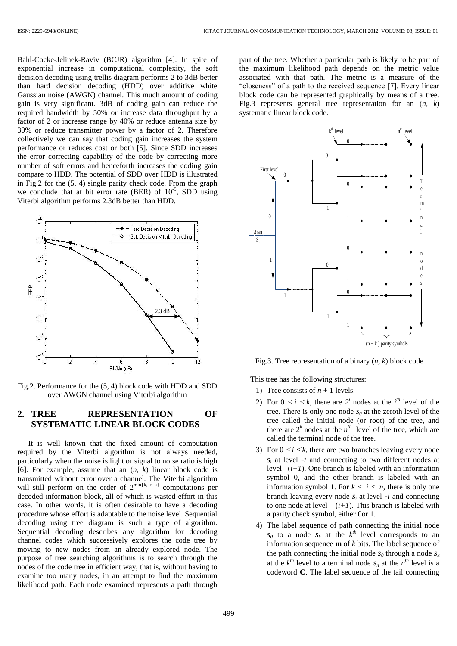Bahl-Cocke-Jelinek-Raviv (BCJR) algorithm [4]. In spite of exponential increase in computational complexity, the soft decision decoding using trellis diagram performs 2 to 3dB better than hard decision decoding (HDD) over additive white Gaussian noise (AWGN) channel. This much amount of coding gain is very significant. 3dB of coding gain can reduce the required bandwidth by 50% or increase data throughput by a factor of 2 or increase range by 40% or reduce antenna size by 30% or reduce transmitter power by a factor of 2. Therefore collectively we can say that coding gain increases the system performance or reduces cost or both [5]. Since SDD increases the error correcting capability of the code by correcting more number of soft errors and henceforth increases the coding gain compare to HDD. The potential of SDD over HDD is illustrated in Fig.2 for the (5, 4) single parity check code. From the graph we conclude that at bit error rate (BER) of  $10^{-5}$ , SDD using Viterbi algorithm performs 2.3dB better than HDD.



Fig.2. Performance for the (5, 4) block code with HDD and SDD over AWGN channel using Viterbi algorithm

# **2. TREE REPRESENTATION OF SYSTEMATIC LINEAR BLOCK CODES**

It is well known that the fixed amount of computation required by the Viterbi algorithm is not always needed, particularly when the noise is light or signal to noise ratio is high [6]. For example, assume that an (*n, k*) linear block code is transmitted without error over a channel. The Viterbi algorithm will still perform on the order of  $2^{\min\{k, n-k\}}$  computations per decoded information block, all of which is wasted effort in this case. In other words, it is often desirable to have a decoding procedure whose effort is adaptable to the noise level. Sequential decoding using tree diagram is such a type of algorithm. Sequential decoding describes any algorithm for decoding channel codes which successively explores the code tree by moving to new nodes from an already explored node. The purpose of tree searching algorithms is to search through the nodes of the code tree in efficient way, that is, without having to examine too many nodes, in an attempt to find the maximum likelihood path. Each node examined represents a path through

part of the tree. Whether a particular path is likely to be part of the maximum likelihood path depends on the metric value associated with that path. The metric is a measure of the "closeness" of a path to the received sequence [7]. Every linear block code can be represented graphically by means of a tree. Fig.3 represents general tree representation for an (*n, k*) systematic linear block code.



Fig.3. Tree representation of a binary (*n, k*) block code

This tree has the following structures:

- 1) Tree consists of  $n + 1$  levels.
- 2) For  $0 \le i \le k$ , there are  $2^i$  nodes at the *i*<sup>th</sup> level of the tree. There is only one node  $s_0$  at the zeroth level of the tree called the initial node (or root) of the tree, and there are  $2^k$  nodes at the  $n^{th}$  level of the tree, which are called the terminal node of the tree.
- 3) For  $0 \le i \le k$ , there are two branches leaving every node *s<sup>i</sup>* at level *-i* and connecting to two different nodes at level *–*(*i+1*). One branch is labeled with an information symbol 0, and the other branch is labeled with an information symbol 1. For  $k \le i \le n$ , there is only one branch leaving every node  $s_i$  at level  $-i$  and connecting to one node at level  $-(i+1)$ . This branch is labeled with a parity check symbol, either 0or 1.
- 4) The label sequence of path connecting the initial node  $s_0$  to a node  $s_k$  at the  $k^{th}$  level corresponds to an information sequence **m** of *k* bits. The label sequence of the path connecting the initial node  $s_0$  through a node  $s_k$ at the  $k^{th}$  level to a terminal node  $s_n$  at the  $n^{th}$  level is a codeword **C**. The label sequence of the tail connecting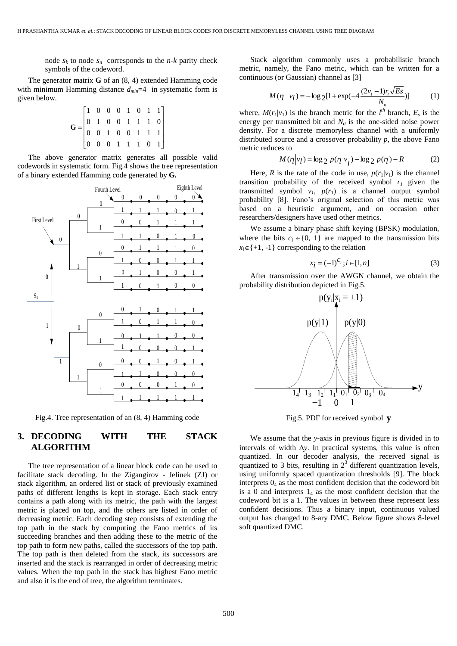node  $s_k$  to node  $s_n$  corresponds to the *n*-*k* parity check symbols of the codeword.

The generator matrix **G** of an (8, 4) extended Hamming code with minimum Hamming distance *dmin*=4 in systematic form is given below.

$$
\mathbf{G} = \begin{bmatrix} 1 & 0 & 0 & 0 & 1 & 0 & 1 & 1 \\ 0 & 1 & 0 & 0 & 1 & 1 & 1 & 0 \\ 0 & 0 & 1 & 0 & 0 & 1 & 1 & 1 \\ 0 & 0 & 0 & 1 & 1 & 1 & 0 & 1 \end{bmatrix}
$$

The above generator matrix generates all possible valid codewords in systematic form. Fig.4 shows the tree representation of a binary extended Hamming code generated by **G.**



Fig.4. Tree representation of an (8, 4) Hamming code

# **3. DECODING WITH THE STACK ALGORITHM**

The tree representation of a linear block code can be used to facilitate stack decoding. In the Zigangirov - Jelinek (ZJ) or stack algorithm, an ordered list or stack of previously examined paths of different lengths is kept in storage. Each stack entry contains a path along with its metric, the path with the largest metric is placed on top, and the others are listed in order of decreasing metric. Each decoding step consists of extending the top path in the stack by computing the Fano metrics of its succeeding branches and then adding these to the metric of the top path to form new paths, called the successors of the top path. The top path is then deleted from the stack, its successors are inserted and the stack is rearranged in order of decreasing metric values. When the top path in the stack has highest Fano metric and also it is the end of tree, the algorithm terminates.

Stack algorithm commonly uses a probabilistic branch metric, namely, the Fano metric, which can be written for a continuous (or Gaussian) channel as [3]

$$
M(\eta \mid v_l) = -\log_2[1 + \exp(-4\frac{(2v_l - 1)r_l\sqrt{Es}}{N_0})]
$$
 (1)

where,  $M(r_1/v_1)$  is the branch metric for the  $l^{th}$  branch,  $E_s$  is the energy per transmitted bit and  $N_0$  is the one-sided noise power density. For a discrete memoryless channel with a uniformly distributed source and a crossover probability *p*, the above Fano metric reduces to

$$
M(\eta|v_l) = \log_2 p(\eta|v_l) - \log_2 p(\eta) - R \tag{2}
$$

Here, *R* is the rate of the code in use,  $p(r_1/v_1)$  is the channel transition probability of the received symbol  $r<sub>1</sub>$  given the transmitted symbol  $v_1$ ,  $p(r_1)$  is a channel output symbol probability [8]. Fano's original selection of this metric was based on a heuristic argument, and on occasion other researchers/designers have used other metrics.

We assume a binary phase shift keying (BPSK) modulation, where the bits  $c_i \in \{0, 1\}$  are mapped to the transmission bits  $x_i \in \{+1, -1\}$  corresponding to the relation

$$
x_i = (-1)^{C_i}; i \in [1, n]
$$
 (3)

After transmission over the AWGN channel, we obtain the probability distribution depicted in Fig.5.



Fig.5. PDF for received symbol **y**

We assume that the *y-*axis in previous figure is divided in to intervals of width  $\Delta y$ . In practical systems, this value is often quantized. In our decoder analysis, the received signal is quantized to 3 bits, resulting in  $2^3$  different quantization levels, using uniformly spaced quantization thresholds [9]. The block interprets  $0_4$  as the most confident decision that the codeword bit is a 0 and interprets  $1_4$  as the most confident decision that the codeword bit is a 1. The values in between these represent less confident decisions. Thus a binary input, continuous valued output has changed to 8-ary DMC. Below figure shows 8-level soft quantized DMC.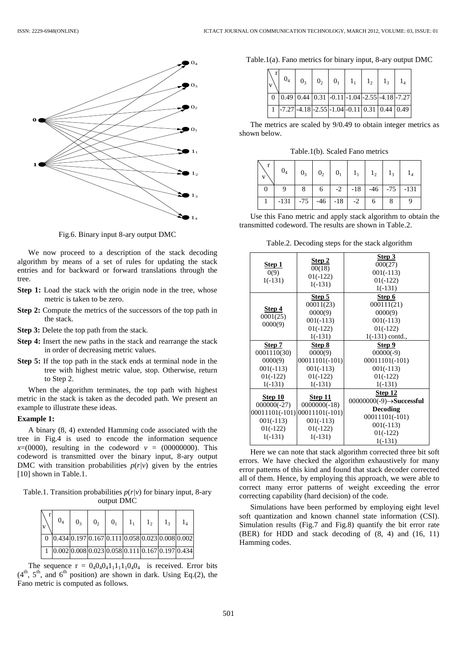

Fig.6. Binary input 8-ary output DMC

We now proceed to a description of the stack decoding algorithm by means of a set of rules for updating the stack entries and for backward or forward translations through the tree.

- **Step 1:** Load the stack with the origin node in the tree, whose metric is taken to be zero.
- **Step 2:** Compute the metrics of the successors of the top path in the stack.
- **Step 3:** Delete the top path from the stack.
- **Step 4:** Insert the new paths in the stack and rearrange the stack in order of decreasing metric values.
- **Step 5:** If the top path in the stack ends at terminal node in the tree with highest metric value, stop. Otherwise, return to Step 2.

When the algorithm terminates, the top path with highest metric in the stack is taken as the decoded path. We present an example to illustrate these ideas.

### **Example 1:**

A binary (8, 4) extended Hamming code associated with the tree in Fig.4 is used to encode the information sequence  $x=(0000)$ , resulting in the codeword  $v = (00000000)$ . This codeword is transmitted over the binary input, 8-ary output DMC with transition probabilities  $p(r/v)$  given by the entries [10] shown in Table.1.

Table.1. Transition probabilities *p*(*r|v*) for binary input, 8-ary output DMC

| $\vert_{\mathrm{v}}$ | $0_4$ | 0 <sub>3</sub> |  |  | $0_2$ $0_1$ $1_1$ $1_2$ $1_3$ $1_4$ |                                                                                                                                                             |
|----------------------|-------|----------------|--|--|-------------------------------------|-------------------------------------------------------------------------------------------------------------------------------------------------------------|
|                      |       |                |  |  |                                     | $\boxed{0}$ $\boxed{0.434}$ $\boxed{0.197}$ $\boxed{0.167}$ $\boxed{0.111}$ $\boxed{0.058}$ $\boxed{0.023}$ $\boxed{0.008}$ $\boxed{0.002}$                 |
|                      |       |                |  |  |                                     | $\boxed{1}$ $\boxed{0.002}$ $\boxed{0.002}$ $\boxed{0.008}$ $\boxed{0.023}$ $\boxed{0.058}$ $\boxed{0.111}$ $\boxed{0.167}$ $\boxed{0.197}$ $\boxed{0.434}$ |

The sequence  $r = 0.40404111110404$  is received. Error bits  $(4<sup>th</sup>, 5<sup>th</sup>, and 6<sup>th</sup> position)$  are shown in dark. Using Eq.(2), the Fano metric is computed as follows.

Table.1(a). Fano metrics for binary input, 8-ary output DMC

|  |  |  | $\begin{bmatrix} \mathbf{r} \\ \mathbf{v} \end{bmatrix}$ $\mathbf{0}_4$ $\mathbf{0}_3$ $\mathbf{0}_2$ $\mathbf{0}_1$ $\mathbf{0}_1$ $\mathbf{1}_1$ $\mathbf{1}_2$ $\mathbf{1}_3$ $\mathbf{1}_4$ |  |
|--|--|--|-------------------------------------------------------------------------------------------------------------------------------------------------------------------------------------------------|--|
|  |  |  | $\boxed{0}$ $\boxed{0.49}$ $\boxed{0.44}$ $\boxed{0.31}$ $\boxed{-0.11}$ $\boxed{-1.04}$ $\boxed{-2.55}$ $\boxed{-4.18}$ $\boxed{-7.27}$                                                        |  |
|  |  |  | $\boxed{1}$ -7.27 -4.18 -2.55 -1.04 -0.11 0.31 0.44 0.49                                                                                                                                        |  |

The metrics are scaled by 9/0.49 to obtain integer metrics as shown below.

Table.1(b). Scaled Fano metrics

| $\sqrt{v}$ | $\begin{array}{c c c c c c c c} r & 0_4 & 0_3 & 0_2 & 0_1 & 1_1 & 1_2 & 1_3 & 1_4 \end{array}$ |                                         |  |  |  |
|------------|------------------------------------------------------------------------------------------------|-----------------------------------------|--|--|--|
|            |                                                                                                | 9   8   6   -2   -18   -46   -75   -131 |  |  |  |
|            | $1 \mid -131 \mid -75 \mid -46 \mid -18 \mid -2 \mid 6 \mid$                                   |                                         |  |  |  |

Use this Fano metric and apply stack algorithm to obtain the transmitted codeword. The results are shown in Table.2.

Table.2. Decoding steps for the stack algorithm

| Step 1<br>0(9)<br>$1(-131)$                                                            | Step 2<br>00(18)<br>$01(-122)$<br>$1(-131)$                                             | Step 3<br>000(27)<br>$001(-113)$<br>$01(-122)$<br>$1(-131)$                                                                       |
|----------------------------------------------------------------------------------------|-----------------------------------------------------------------------------------------|-----------------------------------------------------------------------------------------------------------------------------------|
| Step 4<br>0001(25)<br>0000(9)                                                          | Step 5<br>00011(23)<br>0000(9)<br>$001(-113)$<br>$01(-122)$<br>$1(-131)$                | Step 6<br>000111(21)<br>0000(9)<br>$001(-113)$<br>$01(-122)$<br>$1(-131)$ contd.,                                                 |
| Step 7<br>0001110(30)<br>0000(9)<br>$001(-113)$<br>$01(-122)$<br>$1(-131)$             | Step 8<br>0000(9)<br>00011101(-101)<br>$001(-113)$<br>$01(-122)$<br>$1(-131)$           | Step 9<br>$00000(-9)$<br>$00011101(-101)$<br>$001(-113)$<br>$01(-122)$<br>$1(-131)$                                               |
| Step 10<br>$000000(-27)$<br>$00011101(-101)$<br>$001(-113)$<br>$01(-122)$<br>$1(-131)$ | Step 11<br>$0000000(-18)$<br>$00011101(-101)$<br>$001(-113)$<br>$01(-122)$<br>$1(-131)$ | Step 12<br>$00000000(-9) \rightarrow$ Successful<br><b>Decoding</b><br>$00011101(-101)$<br>$001(-113)$<br>$01(-122)$<br>$1(-131)$ |

Here we can note that stack algorithm corrected three bit soft errors. We have checked the algorithm exhaustively for many error patterns of this kind and found that stack decoder corrected all of them. Hence, by employing this approach, we were able to correct many error patterns of weight exceeding the error correcting capability (hard decision) of the code.

Simulations have been performed by employing eight level soft quantization and known channel state information (CSI). Simulation results (Fig.7 and Fig.8) quantify the bit error rate (BER) for HDD and stack decoding of (8, 4) and (16, 11) Hamming codes.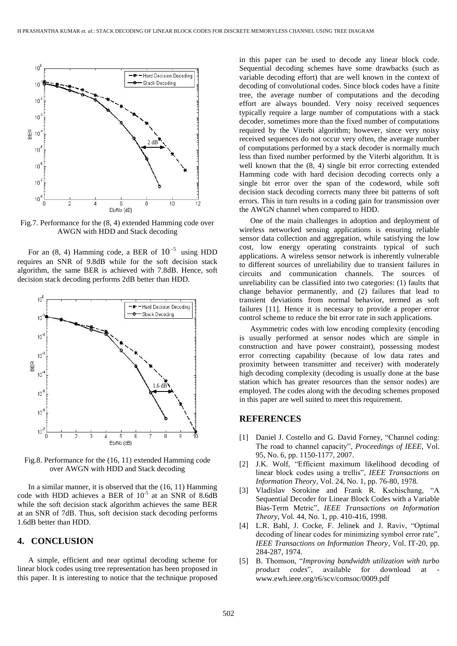

Fig.7. Performance for the (8, 4) extended Hamming code over AWGN with HDD and Stack decoding

For an  $(8, 4)$  Hamming code, a BER of  $10^{-5}$  using HDD requires an SNR of 9.8dB while for the soft decision stack algorithm, the same BER is achieved with 7.8dB. Hence, soft decision stack decoding performs 2dB better than HDD.



Fig.8. Performance for the (16, 11) extended Hamming code over AWGN with HDD and Stack decoding

In a similar manner, it is observed that the (16, 11) Hamming code with HDD achieves a BER of  $10^{-5}$  at an SNR of 8.6dB while the soft decision stack algorithm achieves the same BER at an SNR of 7dB. Thus, soft decision stack decoding performs 1.6dB better than HDD.

### **4. CONCLUSION**

A simple, efficient and near optimal decoding scheme for linear block codes using tree representation has been proposed in this paper. It is interesting to notice that the technique proposed

in this paper can be used to decode any linear block code. Sequential decoding schemes have some drawbacks (such as variable decoding effort) that are well known in the context of decoding of convolutional codes. Since block codes have a finite tree, the average number of computations and the decoding effort are always bounded. Very noisy received sequences typically require a large number of computations with a stack decoder, sometimes more than the fixed number of computations required by the Viterbi algorithm; however, since very noisy received sequences do not occur very often, the average number of computations performed by a stack decoder is normally much less than fixed number performed by the Viterbi algorithm. It is well known that the (8, 4) single bit error correcting extended Hamming code with hard decision decoding corrects only a single bit error over the span of the codeword, while soft decision stack decoding corrects many three bit patterns of soft errors. This in turn results in a coding gain for transmission over the AWGN channel when compared to HDD.

One of the main challenges in adoption and deployment of wireless networked sensing applications is ensuring reliable sensor data collection and aggregation, while satisfying the low cost, low energy operating constraints typical of such applications. A wireless sensor network is inherently vulnerable to different sources of unreliability due to transient failures in circuits and communication channels. The sources of unreliability can be classified into two categories: (1) faults that change behavior permanently, and (2) failures that lead to transient deviations from normal behavior, termed as soft failures [11]. Hence it is necessary to provide a proper error control scheme to reduce the bit error rate in such applications.

Asymmetric codes with low encoding complexity (encoding is usually performed at sensor nodes which are simple in construction and have power constraint), possessing modest error correcting capability (because of low data rates and proximity between transmitter and receiver) with moderately high decoding complexity (decoding is usually done at the base station which has greater resources than the sensor nodes) are employed. The codes along with the decoding schemes proposed in this paper are well suited to meet this requirement.

## **REFERENCES**

- [1] Daniel J. Costello and G. David Forney, "Channel coding: The road to channel capacity", *Proceedings of IEEE*, Vol. 95, No. 6, pp. 1150-1177, 2007.
- [2] J.K. Wolf, "Efficient maximum likelihood decoding of linear block codes using a trellis", *IEEE Transactions on Information Theory*, Vol. 24, No. 1, pp. 76-80, 1978.
- [3] Vladislav Sorokine and Frank R. Kschischang, "A Sequential Decoder for Linear Block Codes with a Variable Bias-Term Metric", *IEEE Transactions on Information Theory*, Vol. 44, No. 1, pp. 410-416, 1998.
- [4] L.R. Bahl, J. Cocke, F. Jelinek and J. Raviv, "Optimal decoding of linear codes for minimizing symbol error rate", *IEEE Transactions on Information Theory*, Vol. IT-20, pp. 284-287, 1974.
- [5] B. Thomson, "*Improving bandwidth utilization with turbo product codes*", available for download at www.ewh.ieee.org/r6/scv/comsoc/0009.pdf